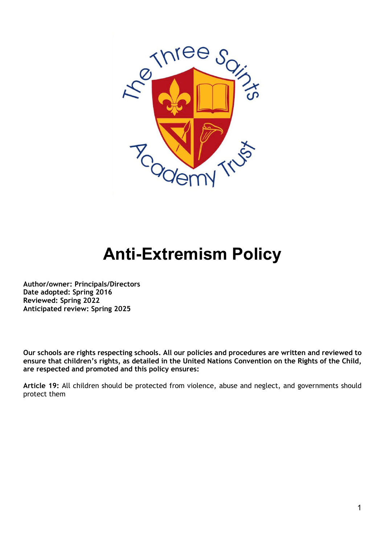

# **Anti-Extremism Policy**

**Author/owner: Principals/Directors Date adopted: Spring 2016 Reviewed: Spring 2022 Anticipated review: Spring 2025** 

**Our schools are rights respecting schools. All our policies and procedures are written and reviewed to ensure that children's rights, as detailed in the United Nations Convention on the Rights of the Child, are respected and promoted and this policy ensures:**

**Article 19:** All children should be protected from violence, abuse and neglect, and governments should protect them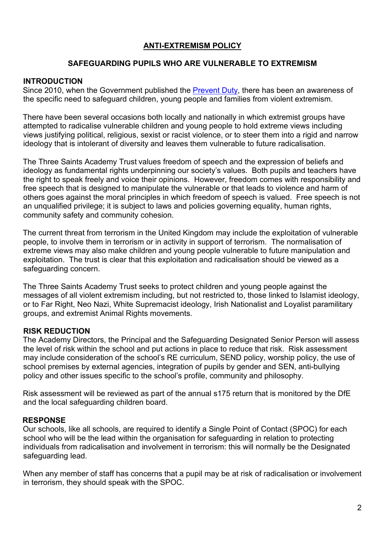### **ANTI-EXTREMISM POLICY**

#### **SAFEGUARDING PUPILS WHO ARE VULNERABLE TO EXTREMISM**

#### **INTRODUCTION**

Since 2010, when the Government published the [Prevent Duty,](https://assets.publishing.service.gov.uk/government/uploads/system/uploads/attachment_data/file/439598/prevent-duty-departmental-advice-v6.pdf) there has been an awareness of the specific need to safeguard children, young people and families from violent extremism.

There have been several occasions both locally and nationally in which extremist groups have attempted to radicalise vulnerable children and young people to hold extreme views including views justifying political, religious, sexist or racist violence, or to steer them into a rigid and narrow ideology that is intolerant of diversity and leaves them vulnerable to future radicalisation.

The Three Saints Academy Trust values freedom of speech and the expression of beliefs and ideology as fundamental rights underpinning our society's values. Both pupils and teachers have the right to speak freely and voice their opinions. However, freedom comes with responsibility and free speech that is designed to manipulate the vulnerable or that leads to violence and harm of others goes against the moral principles in which freedom of speech is valued. Free speech is not an unqualified privilege; it is subject to laws and policies governing equality, human rights, community safety and community cohesion.

The current threat from terrorism in the United Kingdom may include the exploitation of vulnerable people, to involve them in terrorism or in activity in support of terrorism. The normalisation of extreme views may also make children and young people vulnerable to future manipulation and exploitation. The trust is clear that this exploitation and radicalisation should be viewed as a safeguarding concern.

The Three Saints Academy Trust seeks to protect children and young people against the messages of all violent extremism including, but not restricted to, those linked to Islamist ideology, or to Far Right, Neo Nazi, White Supremacist ideology, Irish Nationalist and Loyalist paramilitary groups, and extremist Animal Rights movements.

#### **RISK REDUCTION**

The Academy Directors, the Principal and the Safeguarding Designated Senior Person will assess the level of risk within the school and put actions in place to reduce that risk. Risk assessment may include consideration of the school's RE curriculum, SEND policy, worship policy, the use of school premises by external agencies, integration of pupils by gender and SEN, anti-bullying policy and other issues specific to the school's profile, community and philosophy.

Risk assessment will be reviewed as part of the annual s175 return that is monitored by the DfE and the local safeguarding children board.

#### **RESPONSE**

Our schools, like all schools, are required to identify a Single Point of Contact (SPOC) for each school who will be the lead within the organisation for safeguarding in relation to protecting individuals from radicalisation and involvement in terrorism: this will normally be the Designated safeguarding lead.

When any member of staff has concerns that a pupil may be at risk of radicalisation or involvement in terrorism, they should speak with the SPOC.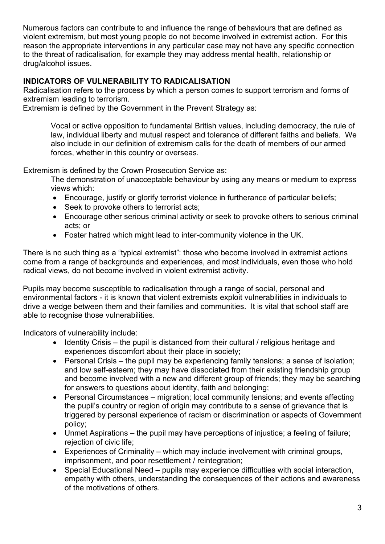Numerous factors can contribute to and influence the range of behaviours that are defined as violent extremism, but most young people do not become involved in extremist action. For this reason the appropriate interventions in any particular case may not have any specific connection to the threat of radicalisation, for example they may address mental health, relationship or drug/alcohol issues.

### **INDICATORS OF VULNERABILITY TO RADICALISATION**

Radicalisation refers to the process by which a person comes to support terrorism and forms of extremism leading to terrorism.

Extremism is defined by the Government in the Prevent Strategy as:

Vocal or active opposition to fundamental British values, including democracy, the rule of law, individual liberty and mutual respect and tolerance of different faiths and beliefs. We also include in our definition of extremism calls for the death of members of our armed forces, whether in this country or overseas.

Extremism is defined by the Crown Prosecution Service as:

The demonstration of unacceptable behaviour by using any means or medium to express views which:

- Encourage, justify or glorify terrorist violence in furtherance of particular beliefs;
- Seek to provoke others to terrorist acts:
- Encourage other serious criminal activity or seek to provoke others to serious criminal acts; or
- Foster hatred which might lead to inter-community violence in the UK.

There is no such thing as a "typical extremist": those who become involved in extremist actions come from a range of backgrounds and experiences, and most individuals, even those who hold radical views, do not become involved in violent extremist activity.

Pupils may become susceptible to radicalisation through a range of social, personal and environmental factors - it is known that violent extremists exploit vulnerabilities in individuals to drive a wedge between them and their families and communities. It is vital that school staff are able to recognise those vulnerabilities.

Indicators of vulnerability include:

- Identity Crisis the pupil is distanced from their cultural / religious heritage and experiences discomfort about their place in society;
- Personal Crisis the pupil may be experiencing family tensions; a sense of isolation; and low self-esteem; they may have dissociated from their existing friendship group and become involved with a new and different group of friends; they may be searching for answers to questions about identity, faith and belonging;
- Personal Circumstances migration; local community tensions; and events affecting the pupil's country or region of origin may contribute to a sense of grievance that is triggered by personal experience of racism or discrimination or aspects of Government policy;
- Unmet Aspirations the pupil may have perceptions of injustice; a feeling of failure; rejection of civic life;
- Experiences of Criminality which may include involvement with criminal groups, imprisonment, and poor resettlement / reintegration;
- Special Educational Need pupils may experience difficulties with social interaction, empathy with others, understanding the consequences of their actions and awareness of the motivations of others.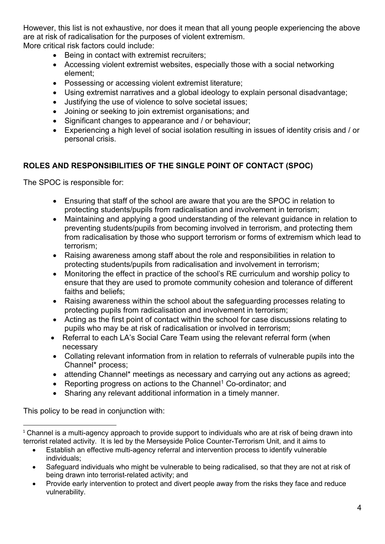However, this list is not exhaustive, nor does it mean that all young people experiencing the above are at risk of radicalisation for the purposes of violent extremism.

More critical risk factors could include:

- Being in contact with extremist recruiters;
- Accessing violent extremist websites, especially those with a social networking element;
- Possessing or accessing violent extremist literature;
- Using extremist narratives and a global ideology to explain personal disadvantage;
- Justifying the use of violence to solve societal issues;
- Joining or seeking to join extremist organisations; and
- Significant changes to appearance and / or behaviour;
- Experiencing a high level of social isolation resulting in issues of identity crisis and / or personal crisis.

## **ROLES AND RESPONSIBILITIES OF THE SINGLE POINT OF CONTACT (SPOC)**

The SPOC is responsible for:

- Ensuring that staff of the school are aware that you are the SPOC in relation to protecting students/pupils from radicalisation and involvement in terrorism;
- Maintaining and applying a good understanding of the relevant guidance in relation to preventing students/pupils from becoming involved in terrorism, and protecting them from radicalisation by those who support terrorism or forms of extremism which lead to terrorism;
- Raising awareness among staff about the role and responsibilities in relation to protecting students/pupils from radicalisation and involvement in terrorism;
- Monitoring the effect in practice of the school's RE curriculum and worship policy to ensure that they are used to promote community cohesion and tolerance of different faiths and beliefs;
- Raising awareness within the school about the safeguarding processes relating to protecting pupils from radicalisation and involvement in terrorism;
- Acting as the first point of contact within the school for case discussions relating to pupils who may be at risk of radicalisation or involved in terrorism;
- Referral to each LA's Social Care Team using the relevant referral form (when necessary
- Collating relevant information from in relation to referrals of vulnerable pupils into the Channel\* process;
- attending Channel\* meetings as necessary and carrying out any actions as agreed;
- Reporting progress on actions to the Channel<sup>[1](#page-3-0)</sup> Co-ordinator; and
- Sharing any relevant additional information in a timely manner.

This policy to be read in conjunction with:

- Establish an effective multi-agency referral and intervention process to identify vulnerable individuals;
- Safeguard individuals who might be vulnerable to being radicalised, so that they are not at risk of being drawn into terrorist-related activity; and
- Provide early intervention to protect and divert people away from the risks they face and reduce vulnerability.

<span id="page-3-0"></span><sup>&</sup>lt;sup>1</sup> Channel is a multi-agency approach to provide support to individuals who are at risk of being drawn into terrorist related activity. It is led by the Merseyside Police Counter-Terrorism Unit, and it aims to